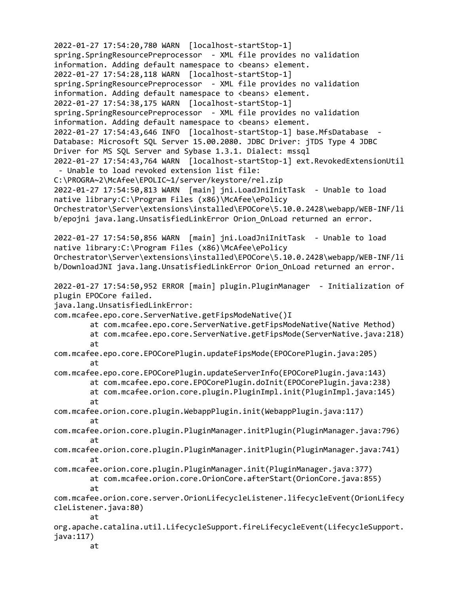2022-01-27 17:54:20,780 WARN [localhost-startStop-1] spring.SpringResourcePreprocessor - XML file provides no validation information. Adding default namespace to  $\langle$  beans> element. 2022-01-27 17:54:28,118 WARN [localhost-startStop-1] spring.SpringResourcePreprocessor - XML file provides no validation information. Adding default namespace to <br/>beans> element. 2022-01-27 17:54:38,175 WARN [localhost-startStop-1] spring.SpringResourcePreprocessor - XML file provides no validation information. Adding default namespace to <br/>beans> element. 2022-01-27 17:54:43,646 INFO [localhost-startStop-1] base.MfsDatabase - Database: Microsoft SQL Server 15.00.2080. JDBC Driver: jTDS Type 4 JDBC Driver for MS SQL Server and Sybase 1.3.1. Dialect: mssql 2022-01-27 17:54:43,764 WARN [localhost-startStop-1] ext.RevokedExtensionUtil - Unable to load revoked extension list file: C:\PROGRA~2\McAfee\EPOLIC~1/server/keystore/rel.zip 2022-01-27 17:54:50,813 WARN [main] jni.LoadJniInitTask - Unable to load native library:C:\Program Files (x86)\McAfee\ePolicy Orchestrator\Server\extensions\installed\EPOCore\5.10.0.2428\webapp/WEB-INF/li b/epojni java.lang.UnsatisfiedLinkError Orion\_OnLoad returned an error. 2022-01-27 17:54:50,856 WARN [main] jni.LoadJniInitTask - Unable to load native library:C:\Program Files (x86)\McAfee\ePolicy Orchestrator\Server\extensions\installed\EPOCore\5.10.0.2428\webapp/WEB-INF/li b/DownloadJNI java.lang.UnsatisfiedLinkError Orion\_OnLoad returned an error. 2022-01-27 17:54:50,952 ERROR [main] plugin.PluginManager - Initialization of plugin EPOCore failed. java.lang.UnsatisfiedLinkError: com.mcafee.epo.core.ServerNative.getFipsModeNative()I at com.mcafee.epo.core.ServerNative.getFipsModeNative(Native Method) at com.mcafee.epo.core.ServerNative.getFipsMode(ServerNative.java:218) at com.mcafee.epo.core.EPOCorePlugin.updateFipsMode(EPOCorePlugin.java:205) at com.mcafee.epo.core.EPOCorePlugin.updateServerInfo(EPOCorePlugin.java:143) at com.mcafee.epo.core.EPOCorePlugin.doInit(EPOCorePlugin.java:238) at com.mcafee.orion.core.plugin.PluginImpl.init(PluginImpl.java:145) at com.mcafee.orion.core.plugin.WebappPlugin.init(WebappPlugin.java:117) at com.mcafee.orion.core.plugin.PluginManager.initPlugin(PluginManager.java:796) at com.mcafee.orion.core.plugin.PluginManager.initPlugin(PluginManager.java:741) at com.mcafee.orion.core.plugin.PluginManager.init(PluginManager.java:377) at com.mcafee.orion.core.OrionCore.afterStart(OrionCore.java:855) at com.mcafee.orion.core.server.OrionLifecycleListener.lifecycleEvent(OrionLifecy cleListener.java:80) at org.apache.catalina.util.LifecycleSupport.fireLifecycleEvent(LifecycleSupport. java:117) at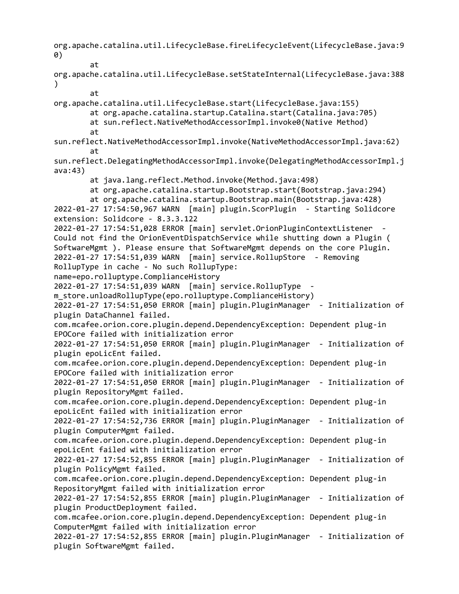org.apache.catalina.util.LifecycleBase.fireLifecycleEvent(LifecycleBase.java:9 0) at org.apache.catalina.util.LifecycleBase.setStateInternal(LifecycleBase.java:388  $\lambda$ at org.apache.catalina.util.LifecycleBase.start(LifecycleBase.java:155) at org.apache.catalina.startup.Catalina.start(Catalina.java:705) at sun.reflect.NativeMethodAccessorImpl.invoke0(Native Method) at sun.reflect.NativeMethodAccessorImpl.invoke(NativeMethodAccessorImpl.java:62) at sun.reflect.DelegatingMethodAccessorImpl.invoke(DelegatingMethodAccessorImpl.j ava:43) at java.lang.reflect.Method.invoke(Method.java:498) at org.apache.catalina.startup.Bootstrap.start(Bootstrap.java:294) at org.apache.catalina.startup.Bootstrap.main(Bootstrap.java:428) 2022-01-27 17:54:50,967 WARN [main] plugin.ScorPlugin - Starting Solidcore extension: Solidcore - 8.3.3.122 2022-01-27 17:54:51,028 ERROR [main] servlet.OrionPluginContextListener - Could not find the OrionEventDispatchService while shutting down a Plugin ( SoftwareMgmt ). Please ensure that SoftwareMgmt depends on the core Plugin. 2022-01-27 17:54:51,039 WARN [main] service.RollupStore - Removing RollupType in cache - No such RollupType: name=epo.rolluptype.ComplianceHistory 2022-01-27 17:54:51,039 WARN [main] service.RollupType m store.unloadRollupType(epo.rolluptype.ComplianceHistory) 2022-01-27 17:54:51,050 ERROR [main] plugin.PluginManager - Initialization of plugin DataChannel failed. com.mcafee.orion.core.plugin.depend.DependencyException: Dependent plug-in EPOCore failed with initialization error 2022-01-27 17:54:51,050 ERROR [main] plugin.PluginManager - Initialization of plugin epoLicEnt failed. com.mcafee.orion.core.plugin.depend.DependencyException: Dependent plug-in EPOCore failed with initialization error 2022-01-27 17:54:51,050 ERROR [main] plugin.PluginManager - Initialization of plugin RepositoryMgmt failed. com.mcafee.orion.core.plugin.depend.DependencyException: Dependent plug-in epoLicEnt failed with initialization error 2022-01-27 17:54:52,736 ERROR [main] plugin.PluginManager - Initialization of plugin ComputerMgmt failed. com.mcafee.orion.core.plugin.depend.DependencyException: Dependent plug-in epoLicEnt failed with initialization error 2022-01-27 17:54:52,855 ERROR [main] plugin.PluginManager - Initialization of plugin PolicyMgmt failed. com.mcafee.orion.core.plugin.depend.DependencyException: Dependent plug-in RepositoryMgmt failed with initialization error 2022-01-27 17:54:52,855 ERROR [main] plugin.PluginManager - Initialization of plugin ProductDeployment failed. com.mcafee.orion.core.plugin.depend.DependencyException: Dependent plug-in ComputerMgmt failed with initialization error 2022-01-27 17:54:52,855 ERROR [main] plugin.PluginManager - Initialization of plugin SoftwareMgmt failed.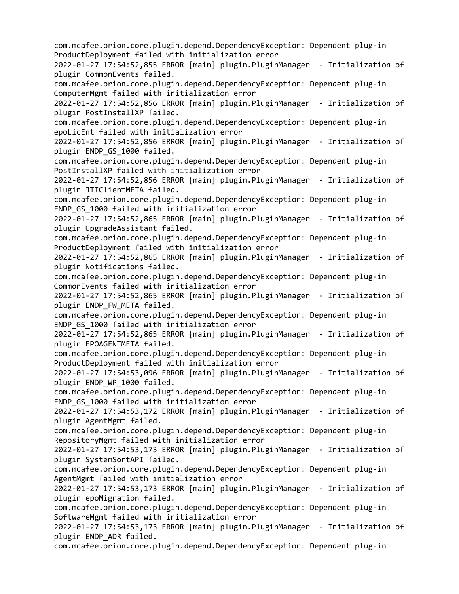com.mcafee.orion.core.plugin.depend.DependencyException: Dependent plug-in ProductDeployment failed with initialization error 2022-01-27 17:54:52,855 ERROR [main] plugin.PluginManager - Initialization of plugin CommonEvents failed. com.mcafee.orion.core.plugin.depend.DependencyException: Dependent plug-in ComputerMgmt failed with initialization error 2022-01-27 17:54:52,856 ERROR [main] plugin.PluginManager - Initialization of plugin PostInstallXP failed. com.mcafee.orion.core.plugin.depend.DependencyException: Dependent plug-in epoLicEnt failed with initialization error 2022-01-27 17:54:52,856 ERROR [main] plugin.PluginManager - Initialization of plugin ENDP GS 1000 failed. com.mcafee.orion.core.plugin.depend.DependencyException: Dependent plug-in PostInstallXP failed with initialization error 2022-01-27 17:54:52,856 ERROR [main] plugin.PluginManager - Initialization of plugin JTIClientMETA failed. com.mcafee.orion.core.plugin.depend.DependencyException: Dependent plug-in ENDP\_GS\_1000 failed with initialization error 2022-01-27 17:54:52,865 ERROR [main] plugin.PluginManager - Initialization of plugin UpgradeAssistant failed. com.mcafee.orion.core.plugin.depend.DependencyException: Dependent plug-in ProductDeployment failed with initialization error 2022-01-27 17:54:52,865 ERROR [main] plugin.PluginManager - Initialization of plugin Notifications failed. com.mcafee.orion.core.plugin.depend.DependencyException: Dependent plug-in CommonEvents failed with initialization error 2022-01-27 17:54:52,865 ERROR [main] plugin.PluginManager - Initialization of plugin ENDP\_FW\_META failed. com.mcafee.orion.core.plugin.depend.DependencyException: Dependent plug-in ENDP\_GS\_1000 failed with initialization error 2022-01-27 17:54:52,865 ERROR [main] plugin.PluginManager - Initialization of plugin EPOAGENTMETA failed. com.mcafee.orion.core.plugin.depend.DependencyException: Dependent plug-in ProductDeployment failed with initialization error 2022-01-27 17:54:53,096 ERROR [main] plugin.PluginManager - Initialization of plugin ENDP\_WP\_1000 failed. com.mcafee.orion.core.plugin.depend.DependencyException: Dependent plug-in ENDP\_GS\_1000 failed with initialization error 2022-01-27 17:54:53,172 ERROR [main] plugin.PluginManager - Initialization of plugin AgentMgmt failed. com.mcafee.orion.core.plugin.depend.DependencyException: Dependent plug-in RepositoryMgmt failed with initialization error 2022-01-27 17:54:53,173 ERROR [main] plugin.PluginManager - Initialization of plugin SystemSortAPI failed. com.mcafee.orion.core.plugin.depend.DependencyException: Dependent plug-in AgentMgmt failed with initialization error 2022-01-27 17:54:53,173 ERROR [main] plugin.PluginManager - Initialization of plugin epoMigration failed. com.mcafee.orion.core.plugin.depend.DependencyException: Dependent plug-in SoftwareMgmt failed with initialization error 2022-01-27 17:54:53,173 ERROR [main] plugin.PluginManager - Initialization of plugin ENDP\_ADR failed. com.mcafee.orion.core.plugin.depend.DependencyException: Dependent plug-in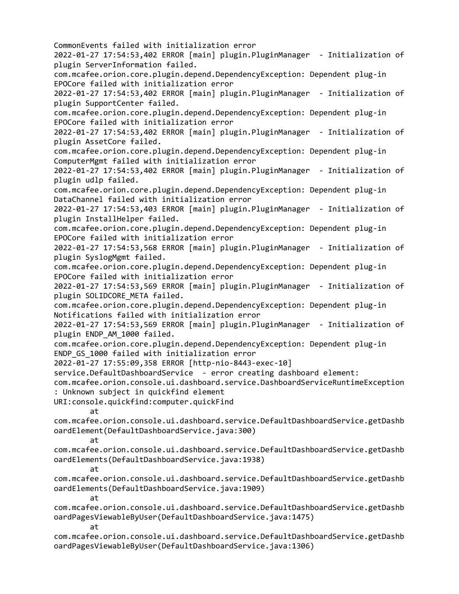CommonEvents failed with initialization error 2022-01-27 17:54:53,402 ERROR [main] plugin.PluginManager - Initialization of plugin ServerInformation failed. com.mcafee.orion.core.plugin.depend.DependencyException: Dependent plug-in EPOCore failed with initialization error 2022-01-27 17:54:53,402 ERROR [main] plugin.PluginManager - Initialization of plugin SupportCenter failed. com.mcafee.orion.core.plugin.depend.DependencyException: Dependent plug-in EPOCore failed with initialization error 2022-01-27 17:54:53,402 ERROR [main] plugin.PluginManager - Initialization of plugin AssetCore failed. com.mcafee.orion.core.plugin.depend.DependencyException: Dependent plug-in ComputerMgmt failed with initialization error 2022-01-27 17:54:53,402 ERROR [main] plugin.PluginManager - Initialization of plugin udlp failed. com.mcafee.orion.core.plugin.depend.DependencyException: Dependent plug-in DataChannel failed with initialization error 2022-01-27 17:54:53,403 ERROR [main] plugin.PluginManager - Initialization of plugin InstallHelper failed. com.mcafee.orion.core.plugin.depend.DependencyException: Dependent plug-in EPOCore failed with initialization error 2022-01-27 17:54:53,568 ERROR [main] plugin.PluginManager - Initialization of plugin SyslogMgmt failed. com.mcafee.orion.core.plugin.depend.DependencyException: Dependent plug-in EPOCore failed with initialization error 2022-01-27 17:54:53,569 ERROR [main] plugin.PluginManager - Initialization of plugin SOLIDCORE META failed. com.mcafee.orion.core.plugin.depend.DependencyException: Dependent plug-in Notifications failed with initialization error 2022-01-27 17:54:53,569 ERROR [main] plugin.PluginManager - Initialization of plugin ENDP AM 1000 failed. com.mcafee.orion.core.plugin.depend.DependencyException: Dependent plug-in ENDP\_GS\_1000 failed with initialization error 2022-01-27 17:55:09,358 ERROR [http-nio-8443-exec-10] service.DefaultDashboardService - error creating dashboard element: com.mcafee.orion.console.ui.dashboard.service.DashboardServiceRuntimeException : Unknown subject in quickfind element URI:console.quickfind:computer.quickFind at com.mcafee.orion.console.ui.dashboard.service.DefaultDashboardService.getDashb oardElement(DefaultDashboardService.java:300) at com.mcafee.orion.console.ui.dashboard.service.DefaultDashboardService.getDashb oardElements(DefaultDashboardService.java:1938) at com.mcafee.orion.console.ui.dashboard.service.DefaultDashboardService.getDashb oardElements(DefaultDashboardService.java:1909) at com.mcafee.orion.console.ui.dashboard.service.DefaultDashboardService.getDashb oardPagesViewableByUser(DefaultDashboardService.java:1475) at com.mcafee.orion.console.ui.dashboard.service.DefaultDashboardService.getDashb oardPagesViewableByUser(DefaultDashboardService.java:1306)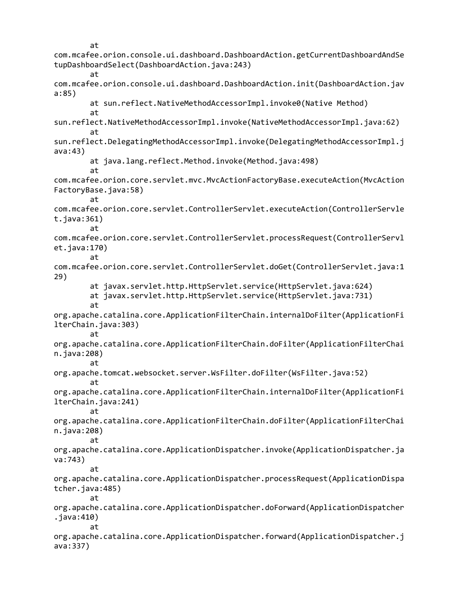at com.mcafee.orion.console.ui.dashboard.DashboardAction.getCurrentDashboardAndSe tupDashboardSelect(DashboardAction.java:243) at com.mcafee.orion.console.ui.dashboard.DashboardAction.init(DashboardAction.jav a:85) at sun.reflect.NativeMethodAccessorImpl.invoke0(Native Method) at sun.reflect.NativeMethodAccessorImpl.invoke(NativeMethodAccessorImpl.java:62) at sun.reflect.DelegatingMethodAccessorImpl.invoke(DelegatingMethodAccessorImpl.j ava:43) at java.lang.reflect.Method.invoke(Method.java:498) at com.mcafee.orion.core.servlet.mvc.MvcActionFactoryBase.executeAction(MvcAction FactoryBase.java:58) at com.mcafee.orion.core.servlet.ControllerServlet.executeAction(ControllerServle t.java:361) at com.mcafee.orion.core.servlet.ControllerServlet.processRequest(ControllerServl et.java:170) at com.mcafee.orion.core.servlet.ControllerServlet.doGet(ControllerServlet.java:1 29) at javax.servlet.http.HttpServlet.service(HttpServlet.java:624) at javax.servlet.http.HttpServlet.service(HttpServlet.java:731) at org.apache.catalina.core.ApplicationFilterChain.internalDoFilter(ApplicationFi lterChain.java:303) at org.apache.catalina.core.ApplicationFilterChain.doFilter(ApplicationFilterChai n.java:208) at org.apache.tomcat.websocket.server.WsFilter.doFilter(WsFilter.java:52) at org.apache.catalina.core.ApplicationFilterChain.internalDoFilter(ApplicationFi lterChain.java:241) at org.apache.catalina.core.ApplicationFilterChain.doFilter(ApplicationFilterChai n.java:208) at org.apache.catalina.core.ApplicationDispatcher.invoke(ApplicationDispatcher.ja va:743) at org.apache.catalina.core.ApplicationDispatcher.processRequest(ApplicationDispa tcher.java:485) at org.apache.catalina.core.ApplicationDispatcher.doForward(ApplicationDispatcher .java:410) at org.apache.catalina.core.ApplicationDispatcher.forward(ApplicationDispatcher.j ava:337)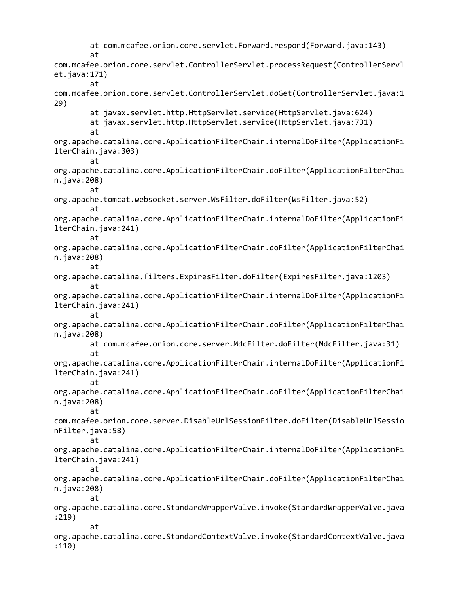at com.mcafee.orion.core.servlet.Forward.respond(Forward.java:143) at com.mcafee.orion.core.servlet.ControllerServlet.processRequest(ControllerServl et.java:171) at com.mcafee.orion.core.servlet.ControllerServlet.doGet(ControllerServlet.java:1 29) at javax.servlet.http.HttpServlet.service(HttpServlet.java:624) at javax.servlet.http.HttpServlet.service(HttpServlet.java:731) at org.apache.catalina.core.ApplicationFilterChain.internalDoFilter(ApplicationFi lterChain.java:303) at org.apache.catalina.core.ApplicationFilterChain.doFilter(ApplicationFilterChai n.java:208) at org.apache.tomcat.websocket.server.WsFilter.doFilter(WsFilter.java:52) at org.apache.catalina.core.ApplicationFilterChain.internalDoFilter(ApplicationFi lterChain.java:241) at org.apache.catalina.core.ApplicationFilterChain.doFilter(ApplicationFilterChai n.java:208) at org.apache.catalina.filters.ExpiresFilter.doFilter(ExpiresFilter.java:1203) at org.apache.catalina.core.ApplicationFilterChain.internalDoFilter(ApplicationFi lterChain.java:241) at org.apache.catalina.core.ApplicationFilterChain.doFilter(ApplicationFilterChai n.java:208) at com.mcafee.orion.core.server.MdcFilter.doFilter(MdcFilter.java:31) at org.apache.catalina.core.ApplicationFilterChain.internalDoFilter(ApplicationFi lterChain.java:241) at org.apache.catalina.core.ApplicationFilterChain.doFilter(ApplicationFilterChai n.java:208) at com.mcafee.orion.core.server.DisableUrlSessionFilter.doFilter(DisableUrlSessio nFilter.java:58) at org.apache.catalina.core.ApplicationFilterChain.internalDoFilter(ApplicationFi lterChain.java:241) at org.apache.catalina.core.ApplicationFilterChain.doFilter(ApplicationFilterChai n.java:208) at org.apache.catalina.core.StandardWrapperValve.invoke(StandardWrapperValve.java :219) at org.apache.catalina.core.StandardContextValve.invoke(StandardContextValve.java :110)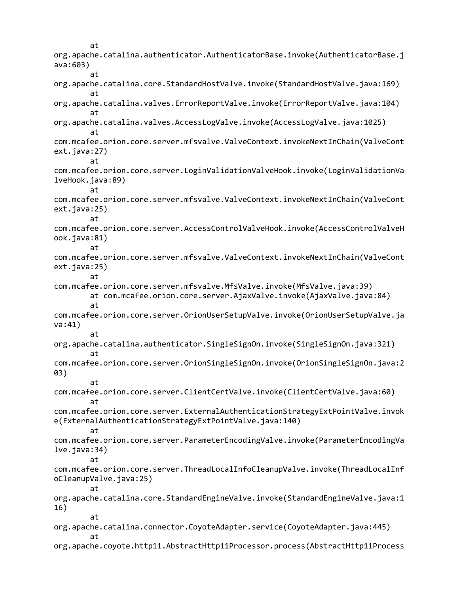at org.apache.catalina.authenticator.AuthenticatorBase.invoke(AuthenticatorBase.j ava:603) at org.apache.catalina.core.StandardHostValve.invoke(StandardHostValve.java:169) at org.apache.catalina.valves.ErrorReportValve.invoke(ErrorReportValve.java:104) at org.apache.catalina.valves.AccessLogValve.invoke(AccessLogValve.java:1025) at com.mcafee.orion.core.server.mfsvalve.ValveContext.invokeNextInChain(ValveCont ext.java:27) at com.mcafee.orion.core.server.LoginValidationValveHook.invoke(LoginValidationVa lveHook.java:89) at com.mcafee.orion.core.server.mfsvalve.ValveContext.invokeNextInChain(ValveCont ext.java:25) at com.mcafee.orion.core.server.AccessControlValveHook.invoke(AccessControlValveH ook.java:81) at com.mcafee.orion.core.server.mfsvalve.ValveContext.invokeNextInChain(ValveCont ext.java:25) at com.mcafee.orion.core.server.mfsvalve.MfsValve.invoke(MfsValve.java:39) at com.mcafee.orion.core.server.AjaxValve.invoke(AjaxValve.java:84) at com.mcafee.orion.core.server.OrionUserSetupValve.invoke(OrionUserSetupValve.ja va:41) at org.apache.catalina.authenticator.SingleSignOn.invoke(SingleSignOn.java:321) at com.mcafee.orion.core.server.OrionSingleSignOn.invoke(OrionSingleSignOn.java:2 03) at com.mcafee.orion.core.server.ClientCertValve.invoke(ClientCertValve.java:60) at com.mcafee.orion.core.server.ExternalAuthenticationStrategyExtPointValve.invok e(ExternalAuthenticationStrategyExtPointValve.java:140) at com.mcafee.orion.core.server.ParameterEncodingValve.invoke(ParameterEncodingVa lve.java:34) at com.mcafee.orion.core.server.ThreadLocalInfoCleanupValve.invoke(ThreadLocalInf oCleanupValve.java:25) at org.apache.catalina.core.StandardEngineValve.invoke(StandardEngineValve.java:1 16) at org.apache.catalina.connector.CoyoteAdapter.service(CoyoteAdapter.java:445) at org.apache.coyote.http11.AbstractHttp11Processor.process(AbstractHttp11Process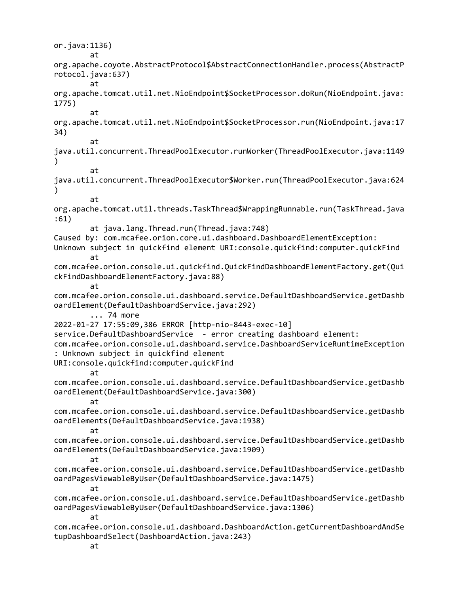or.java:1136) at org.apache.coyote.AbstractProtocol\$AbstractConnectionHandler.process(AbstractP rotocol.java:637) at org.apache.tomcat.util.net.NioEndpoint\$SocketProcessor.doRun(NioEndpoint.java: 1775) at org.apache.tomcat.util.net.NioEndpoint\$SocketProcessor.run(NioEndpoint.java:17 34) at java.util.concurrent.ThreadPoolExecutor.runWorker(ThreadPoolExecutor.java:1149 ) at java.util.concurrent.ThreadPoolExecutor\$Worker.run(ThreadPoolExecutor.java:624 ) at org.apache.tomcat.util.threads.TaskThread\$WrappingRunnable.run(TaskThread.java :61) at java.lang.Thread.run(Thread.java:748) Caused by: com.mcafee.orion.core.ui.dashboard.DashboardElementException: Unknown subject in quickfind element URI:console.quickfind:computer.quickFind at com.mcafee.orion.console.ui.quickfind.QuickFindDashboardElementFactory.get(Qui ckFindDashboardElementFactory.java:88) at com.mcafee.orion.console.ui.dashboard.service.DefaultDashboardService.getDashb oardElement(DefaultDashboardService.java:292) ... 74 more 2022-01-27 17:55:09,386 ERROR [http-nio-8443-exec-10] service.DefaultDashboardService - error creating dashboard element: com.mcafee.orion.console.ui.dashboard.service.DashboardServiceRuntimeException : Unknown subject in quickfind element URI:console.quickfind:computer.quickFind at com.mcafee.orion.console.ui.dashboard.service.DefaultDashboardService.getDashb oardElement(DefaultDashboardService.java:300) at com.mcafee.orion.console.ui.dashboard.service.DefaultDashboardService.getDashb oardElements(DefaultDashboardService.java:1938) at com.mcafee.orion.console.ui.dashboard.service.DefaultDashboardService.getDashb oardElements(DefaultDashboardService.java:1909) at com.mcafee.orion.console.ui.dashboard.service.DefaultDashboardService.getDashb oardPagesViewableByUser(DefaultDashboardService.java:1475) at com.mcafee.orion.console.ui.dashboard.service.DefaultDashboardService.getDashb oardPagesViewableByUser(DefaultDashboardService.java:1306) at com.mcafee.orion.console.ui.dashboard.DashboardAction.getCurrentDashboardAndSe tupDashboardSelect(DashboardAction.java:243) at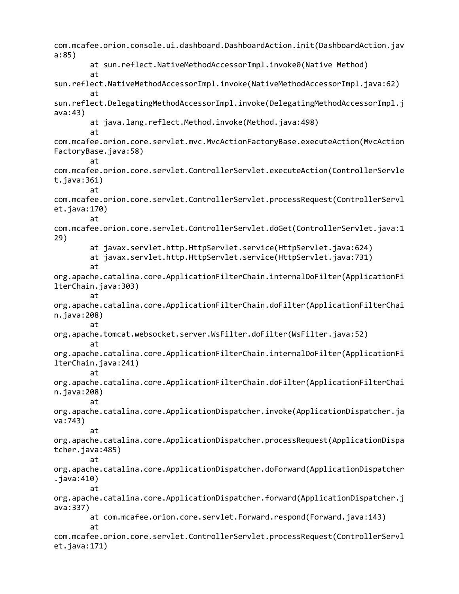com.mcafee.orion.console.ui.dashboard.DashboardAction.init(DashboardAction.jav a:85) at sun.reflect.NativeMethodAccessorImpl.invoke0(Native Method) at sun.reflect.NativeMethodAccessorImpl.invoke(NativeMethodAccessorImpl.java:62) at sun.reflect.DelegatingMethodAccessorImpl.invoke(DelegatingMethodAccessorImpl.j ava:43) at java.lang.reflect.Method.invoke(Method.java:498) at com.mcafee.orion.core.servlet.mvc.MvcActionFactoryBase.executeAction(MvcAction FactoryBase.java:58) at com.mcafee.orion.core.servlet.ControllerServlet.executeAction(ControllerServle t.java:361) at com.mcafee.orion.core.servlet.ControllerServlet.processRequest(ControllerServl et.java:170) at com.mcafee.orion.core.servlet.ControllerServlet.doGet(ControllerServlet.java:1 29) at javax.servlet.http.HttpServlet.service(HttpServlet.java:624) at javax.servlet.http.HttpServlet.service(HttpServlet.java:731) at org.apache.catalina.core.ApplicationFilterChain.internalDoFilter(ApplicationFi lterChain.java:303) at org.apache.catalina.core.ApplicationFilterChain.doFilter(ApplicationFilterChai n.java:208) at org.apache.tomcat.websocket.server.WsFilter.doFilter(WsFilter.java:52) at org.apache.catalina.core.ApplicationFilterChain.internalDoFilter(ApplicationFi lterChain.java:241) at org.apache.catalina.core.ApplicationFilterChain.doFilter(ApplicationFilterChai n.java:208) at org.apache.catalina.core.ApplicationDispatcher.invoke(ApplicationDispatcher.ja va:743) at org.apache.catalina.core.ApplicationDispatcher.processRequest(ApplicationDispa tcher.java:485) at org.apache.catalina.core.ApplicationDispatcher.doForward(ApplicationDispatcher .java:410) at org.apache.catalina.core.ApplicationDispatcher.forward(ApplicationDispatcher.j ava:337) at com.mcafee.orion.core.servlet.Forward.respond(Forward.java:143) at com.mcafee.orion.core.servlet.ControllerServlet.processRequest(ControllerServl et.java:171)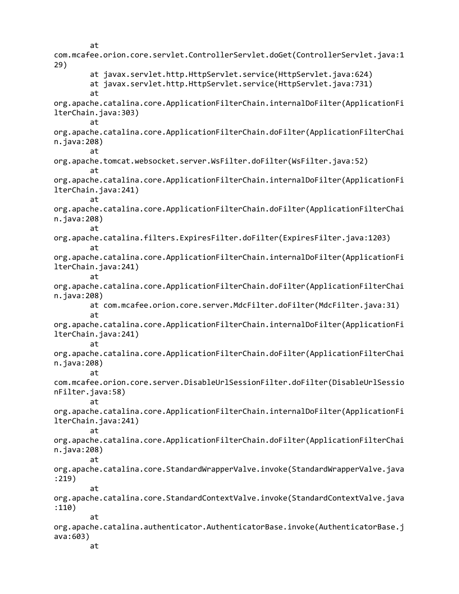at com.mcafee.orion.core.servlet.ControllerServlet.doGet(ControllerServlet.java:1 29) at javax.servlet.http.HttpServlet.service(HttpServlet.java:624) at javax.servlet.http.HttpServlet.service(HttpServlet.java:731) at org.apache.catalina.core.ApplicationFilterChain.internalDoFilter(ApplicationFi lterChain.java:303) at org.apache.catalina.core.ApplicationFilterChain.doFilter(ApplicationFilterChai n.java:208) at org.apache.tomcat.websocket.server.WsFilter.doFilter(WsFilter.java:52) at org.apache.catalina.core.ApplicationFilterChain.internalDoFilter(ApplicationFi lterChain.java:241) at org.apache.catalina.core.ApplicationFilterChain.doFilter(ApplicationFilterChai n.java:208) at org.apache.catalina.filters.ExpiresFilter.doFilter(ExpiresFilter.java:1203) at org.apache.catalina.core.ApplicationFilterChain.internalDoFilter(ApplicationFi lterChain.java:241) at org.apache.catalina.core.ApplicationFilterChain.doFilter(ApplicationFilterChai n.java:208) at com.mcafee.orion.core.server.MdcFilter.doFilter(MdcFilter.java:31) at org.apache.catalina.core.ApplicationFilterChain.internalDoFilter(ApplicationFi lterChain.java:241) at org.apache.catalina.core.ApplicationFilterChain.doFilter(ApplicationFilterChai n.java:208) at com.mcafee.orion.core.server.DisableUrlSessionFilter.doFilter(DisableUrlSessio nFilter.java:58) at org.apache.catalina.core.ApplicationFilterChain.internalDoFilter(ApplicationFi lterChain.java:241) at org.apache.catalina.core.ApplicationFilterChain.doFilter(ApplicationFilterChai n.java:208) at org.apache.catalina.core.StandardWrapperValve.invoke(StandardWrapperValve.java :219) at org.apache.catalina.core.StandardContextValve.invoke(StandardContextValve.java :110) at org.apache.catalina.authenticator.AuthenticatorBase.invoke(AuthenticatorBase.j ava:603) at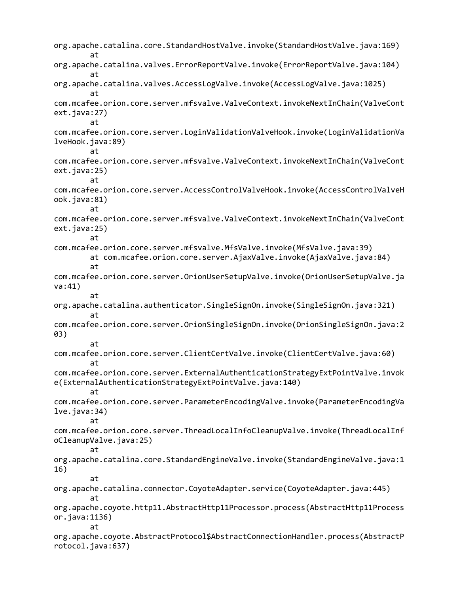org.apache.catalina.core.StandardHostValve.invoke(StandardHostValve.java:169) at org.apache.catalina.valves.ErrorReportValve.invoke(ErrorReportValve.java:104) at org.apache.catalina.valves.AccessLogValve.invoke(AccessLogValve.java:1025) at com.mcafee.orion.core.server.mfsvalve.ValveContext.invokeNextInChain(ValveCont ext.java:27) at com.mcafee.orion.core.server.LoginValidationValveHook.invoke(LoginValidationVa lveHook.java:89) at com.mcafee.orion.core.server.mfsvalve.ValveContext.invokeNextInChain(ValveCont ext.java:25) at com.mcafee.orion.core.server.AccessControlValveHook.invoke(AccessControlValveH ook.java:81) at com.mcafee.orion.core.server.mfsvalve.ValveContext.invokeNextInChain(ValveCont ext.java:25) at com.mcafee.orion.core.server.mfsvalve.MfsValve.invoke(MfsValve.java:39) at com.mcafee.orion.core.server.AjaxValve.invoke(AjaxValve.java:84) at com.mcafee.orion.core.server.OrionUserSetupValve.invoke(OrionUserSetupValve.ja va:41) at org.apache.catalina.authenticator.SingleSignOn.invoke(SingleSignOn.java:321) at com.mcafee.orion.core.server.OrionSingleSignOn.invoke(OrionSingleSignOn.java:2 03) at com.mcafee.orion.core.server.ClientCertValve.invoke(ClientCertValve.java:60) at com.mcafee.orion.core.server.ExternalAuthenticationStrategyExtPointValve.invok e(ExternalAuthenticationStrategyExtPointValve.java:140) at com.mcafee.orion.core.server.ParameterEncodingValve.invoke(ParameterEncodingVa lve.java:34) at com.mcafee.orion.core.server.ThreadLocalInfoCleanupValve.invoke(ThreadLocalInf oCleanupValve.java:25) at org.apache.catalina.core.StandardEngineValve.invoke(StandardEngineValve.java:1 16) at org.apache.catalina.connector.CoyoteAdapter.service(CoyoteAdapter.java:445) at org.apache.coyote.http11.AbstractHttp11Processor.process(AbstractHttp11Process or.java:1136) at org.apache.coyote.AbstractProtocol\$AbstractConnectionHandler.process(AbstractP rotocol.java:637)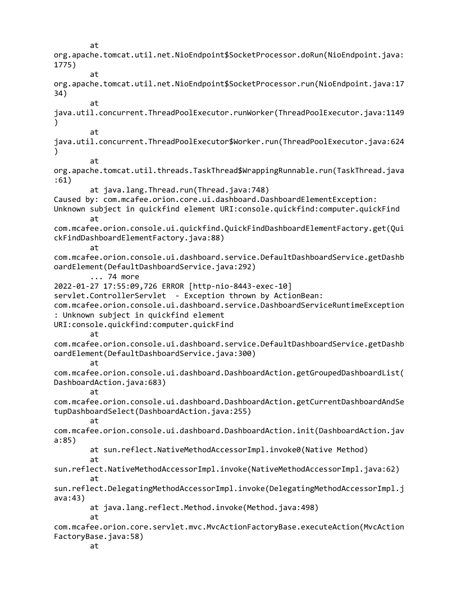at org.apache.tomcat.util.net.NioEndpoint\$SocketProcessor.doRun(NioEndpoint.java: 1775) at org.apache.tomcat.util.net.NioEndpoint\$SocketProcessor.run(NioEndpoint.java:17 34) at java.util.concurrent.ThreadPoolExecutor.runWorker(ThreadPoolExecutor.java:1149 ) at java.util.concurrent.ThreadPoolExecutor\$Worker.run(ThreadPoolExecutor.java:624 ) at org.apache.tomcat.util.threads.TaskThread\$WrappingRunnable.run(TaskThread.java :61) at java.lang.Thread.run(Thread.java:748) Caused by: com.mcafee.orion.core.ui.dashboard.DashboardElementException: Unknown subject in quickfind element URI:console.quickfind:computer.quickFind at com.mcafee.orion.console.ui.quickfind.QuickFindDashboardElementFactory.get(Qui ckFindDashboardElementFactory.java:88) at com.mcafee.orion.console.ui.dashboard.service.DefaultDashboardService.getDashb oardElement(DefaultDashboardService.java:292) ... 74 more 2022-01-27 17:55:09,726 ERROR [http-nio-8443-exec-10] servlet.ControllerServlet - Exception thrown by ActionBean: com.mcafee.orion.console.ui.dashboard.service.DashboardServiceRuntimeException : Unknown subject in quickfind element URI:console.quickfind:computer.quickFind at com.mcafee.orion.console.ui.dashboard.service.DefaultDashboardService.getDashb oardElement(DefaultDashboardService.java:300) at com.mcafee.orion.console.ui.dashboard.DashboardAction.getGroupedDashboardList( DashboardAction.java:683) at com.mcafee.orion.console.ui.dashboard.DashboardAction.getCurrentDashboardAndSe tupDashboardSelect(DashboardAction.java:255) at com.mcafee.orion.console.ui.dashboard.DashboardAction.init(DashboardAction.jav a:85) at sun.reflect.NativeMethodAccessorImpl.invoke0(Native Method) at sun.reflect.NativeMethodAccessorImpl.invoke(NativeMethodAccessorImpl.java:62) at sun.reflect.DelegatingMethodAccessorImpl.invoke(DelegatingMethodAccessorImpl.j ava:43) at java.lang.reflect.Method.invoke(Method.java:498) at com.mcafee.orion.core.servlet.mvc.MvcActionFactoryBase.executeAction(MvcAction FactoryBase.java:58) at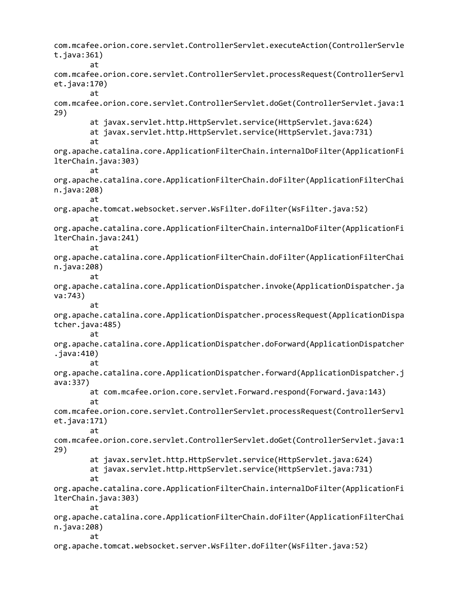com.mcafee.orion.core.servlet.ControllerServlet.executeAction(ControllerServle  $t.java:361)$ at com.mcafee.orion.core.servlet.ControllerServlet.processRequest(ControllerServl et.java:170) at com.mcafee.orion.core.servlet.ControllerServlet.doGet(ControllerServlet.java:1 29) at javax.servlet.http.HttpServlet.service(HttpServlet.java:624) at javax.servlet.http.HttpServlet.service(HttpServlet.java:731) at org.apache.catalina.core.ApplicationFilterChain.internalDoFilter(ApplicationFi lterChain.java:303) at org.apache.catalina.core.ApplicationFilterChain.doFilter(ApplicationFilterChai n.java:208) at org.apache.tomcat.websocket.server.WsFilter.doFilter(WsFilter.java:52) at org.apache.catalina.core.ApplicationFilterChain.internalDoFilter(ApplicationFi lterChain.java:241) at org.apache.catalina.core.ApplicationFilterChain.doFilter(ApplicationFilterChai n.java:208) at org.apache.catalina.core.ApplicationDispatcher.invoke(ApplicationDispatcher.ja va:743) at org.apache.catalina.core.ApplicationDispatcher.processRequest(ApplicationDispa tcher.java:485) at org.apache.catalina.core.ApplicationDispatcher.doForward(ApplicationDispatcher .java:410) at org.apache.catalina.core.ApplicationDispatcher.forward(ApplicationDispatcher.j ava:337) at com.mcafee.orion.core.servlet.Forward.respond(Forward.java:143) at com.mcafee.orion.core.servlet.ControllerServlet.processRequest(ControllerServl et.java:171) at com.mcafee.orion.core.servlet.ControllerServlet.doGet(ControllerServlet.java:1 29) at javax.servlet.http.HttpServlet.service(HttpServlet.java:624) at javax.servlet.http.HttpServlet.service(HttpServlet.java:731) at org.apache.catalina.core.ApplicationFilterChain.internalDoFilter(ApplicationFi lterChain.java:303) at org.apache.catalina.core.ApplicationFilterChain.doFilter(ApplicationFilterChai n.java:208) at org.apache.tomcat.websocket.server.WsFilter.doFilter(WsFilter.java:52)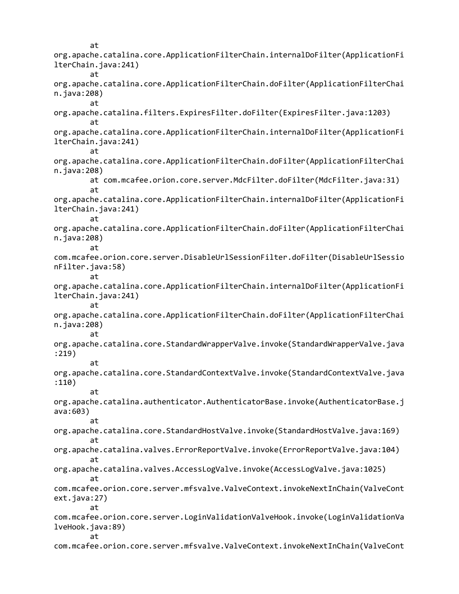at org.apache.catalina.core.ApplicationFilterChain.internalDoFilter(ApplicationFi lterChain.java:241) at org.apache.catalina.core.ApplicationFilterChain.doFilter(ApplicationFilterChai n.java:208) at org.apache.catalina.filters.ExpiresFilter.doFilter(ExpiresFilter.java:1203) at org.apache.catalina.core.ApplicationFilterChain.internalDoFilter(ApplicationFi lterChain.java:241) at org.apache.catalina.core.ApplicationFilterChain.doFilter(ApplicationFilterChai n.java:208) at com.mcafee.orion.core.server.MdcFilter.doFilter(MdcFilter.java:31) at org.apache.catalina.core.ApplicationFilterChain.internalDoFilter(ApplicationFi lterChain.java:241) at org.apache.catalina.core.ApplicationFilterChain.doFilter(ApplicationFilterChai n.java:208) at com.mcafee.orion.core.server.DisableUrlSessionFilter.doFilter(DisableUrlSessio nFilter.java:58) at org.apache.catalina.core.ApplicationFilterChain.internalDoFilter(ApplicationFi lterChain.java:241) at org.apache.catalina.core.ApplicationFilterChain.doFilter(ApplicationFilterChai n.java:208) at org.apache.catalina.core.StandardWrapperValve.invoke(StandardWrapperValve.java :219) at org.apache.catalina.core.StandardContextValve.invoke(StandardContextValve.java :110) at org.apache.catalina.authenticator.AuthenticatorBase.invoke(AuthenticatorBase.j ava:603) at org.apache.catalina.core.StandardHostValve.invoke(StandardHostValve.java:169) at org.apache.catalina.valves.ErrorReportValve.invoke(ErrorReportValve.java:104) at org.apache.catalina.valves.AccessLogValve.invoke(AccessLogValve.java:1025) at com.mcafee.orion.core.server.mfsvalve.ValveContext.invokeNextInChain(ValveCont ext.java:27) at com.mcafee.orion.core.server.LoginValidationValveHook.invoke(LoginValidationVa lveHook.java:89) at com.mcafee.orion.core.server.mfsvalve.ValveContext.invokeNextInChain(ValveCont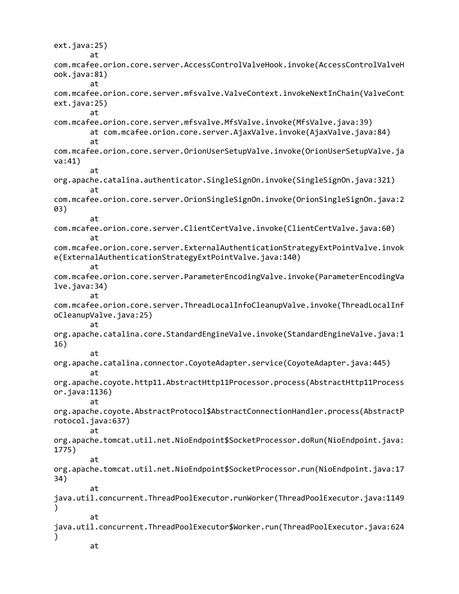ext.java:25) at com.mcafee.orion.core.server.AccessControlValveHook.invoke(AccessControlValveH ook.java:81) at com.mcafee.orion.core.server.mfsvalve.ValveContext.invokeNextInChain(ValveCont ext.java:25) at com.mcafee.orion.core.server.mfsvalve.MfsValve.invoke(MfsValve.java:39) at com.mcafee.orion.core.server.AjaxValve.invoke(AjaxValve.java:84) at com.mcafee.orion.core.server.OrionUserSetupValve.invoke(OrionUserSetupValve.ja va:41) at org.apache.catalina.authenticator.SingleSignOn.invoke(SingleSignOn.java:321) at com.mcafee.orion.core.server.OrionSingleSignOn.invoke(OrionSingleSignOn.java:2 03) at com.mcafee.orion.core.server.ClientCertValve.invoke(ClientCertValve.java:60) at com.mcafee.orion.core.server.ExternalAuthenticationStrategyExtPointValve.invok e(ExternalAuthenticationStrategyExtPointValve.java:140) at com.mcafee.orion.core.server.ParameterEncodingValve.invoke(ParameterEncodingVa lve.java:34) at com.mcafee.orion.core.server.ThreadLocalInfoCleanupValve.invoke(ThreadLocalInf oCleanupValve.java:25) at org.apache.catalina.core.StandardEngineValve.invoke(StandardEngineValve.java:1 16) at org.apache.catalina.connector.CoyoteAdapter.service(CoyoteAdapter.java:445) at org.apache.coyote.http11.AbstractHttp11Processor.process(AbstractHttp11Process or.java:1136) at org.apache.coyote.AbstractProtocol\$AbstractConnectionHandler.process(AbstractP rotocol.java:637) at org.apache.tomcat.util.net.NioEndpoint\$SocketProcessor.doRun(NioEndpoint.java: 1775) at org.apache.tomcat.util.net.NioEndpoint\$SocketProcessor.run(NioEndpoint.java:17 34) at java.util.concurrent.ThreadPoolExecutor.runWorker(ThreadPoolExecutor.java:1149  $\mathcal{L}$ at java.util.concurrent.ThreadPoolExecutor\$Worker.run(ThreadPoolExecutor.java:624 ) at